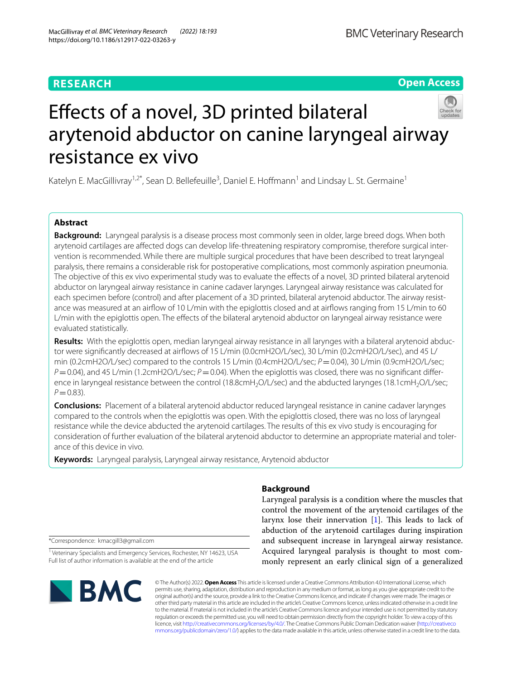**Open Access**



Katelyn E. MacGillivray<sup>1,2\*</sup>, Sean D. Bellefeuille<sup>3</sup>, Daniel E. Hoffmann<sup>1</sup> and Lindsay L. St. Germaine<sup>1</sup>

# **Abstract**

**Background:** Laryngeal paralysis is a disease process most commonly seen in older, large breed dogs. When both arytenoid cartilages are afected dogs can develop life-threatening respiratory compromise, therefore surgical intervention is recommended. While there are multiple surgical procedures that have been described to treat laryngeal paralysis, there remains a considerable risk for postoperative complications, most commonly aspiration pneumonia. The objective of this ex vivo experimental study was to evaluate the efects of a novel, 3D printed bilateral arytenoid abductor on laryngeal airway resistance in canine cadaver larynges. Laryngeal airway resistance was calculated for each specimen before (control) and after placement of a 3D printed, bilateral arytenoid abductor. The airway resistance was measured at an airfow of 10 L/min with the epiglottis closed and at airfows ranging from 15 L/min to 60 L/min with the epiglottis open. The efects of the bilateral arytenoid abductor on laryngeal airway resistance were evaluated statistically.

**Results:** With the epiglottis open, median laryngeal airway resistance in all larynges with a bilateral arytenoid abductor were signifcantly decreased at airfows of 15 L/min (0.0cmH2O/L/sec), 30 L/min (0.2cmH2O/L/sec), and 45 L/ min (0.2cmH2O/L/sec) compared to the controls 15 L/min (0.4cmH2O/L/sec; *P*=0.04), 30 L/min (0.9cmH2O/L/sec; *P*=0.04), and 45 L/min (1.2cmH2O/L/sec; *P*=0.04). When the epiglottis was closed, there was no signifcant diference in laryngeal resistance between the control (18.8cmH<sub>2</sub>O/L/sec) and the abducted larynges (18.1cmH<sub>2</sub>O/L/sec;  $P = 0.83$ .

**Conclusions:** Placement of a bilateral arytenoid abductor reduced laryngeal resistance in canine cadaver larynges compared to the controls when the epiglottis was open. With the epiglottis closed, there was no loss of laryngeal resistance while the device abducted the arytenoid cartilages. The results of this ex vivo study is encouraging for consideration of further evaluation of the bilateral arytenoid abductor to determine an appropriate material and tolerance of this device in vivo.

**Keywords:** Laryngeal paralysis, Laryngeal airway resistance, Arytenoid abductor

# **Background**

Laryngeal paralysis is a condition where the muscles that control the movement of the arytenoid cartilages of the larynx lose their innervation  $[1]$  $[1]$ . This leads to lack of abduction of the arytenoid cartilages during inspiration and subsequent increase in laryngeal airway resistance. Acquired laryngeal paralysis is thought to most commonly represent an early clinical sign of a generalized

\*Correspondence: kmacgill3@gmail.com

<sup>1</sup> Veterinary Specialists and Emergency Services, Rochester, NY 14623, USA Full list of author information is available at the end of the article



© The Author(s) 2022. **Open Access** This article is licensed under a Creative Commons Attribution 4.0 International License, which permits use, sharing, adaptation, distribution and reproduction in any medium or format, as long as you give appropriate credit to the original author(s) and the source, provide a link to the Creative Commons licence, and indicate if changes were made. The images or other third party material in this article are included in the article's Creative Commons licence, unless indicated otherwise in a credit line to the material. If material is not included in the article's Creative Commons licence and your intended use is not permitted by statutory regulation or exceeds the permitted use, you will need to obtain permission directly from the copyright holder. To view a copy of this licence, visit [http://creativecommons.org/licenses/by/4.0/.](http://creativecommons.org/licenses/by/4.0/) The Creative Commons Public Domain Dedication waiver ([http://creativeco](http://creativecommons.org/publicdomain/zero/1.0/) [mmons.org/publicdomain/zero/1.0/](http://creativecommons.org/publicdomain/zero/1.0/)) applies to the data made available in this article, unless otherwise stated in a credit line to the data.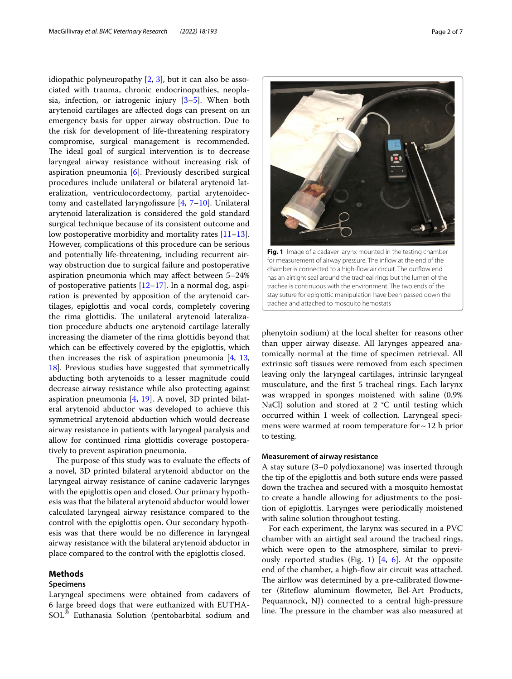idiopathic polyneuropathy  $[2, 3]$  $[2, 3]$  $[2, 3]$  $[2, 3]$ , but it can also be associated with trauma, chronic endocrinopathies, neoplasia, infection, or iatrogenic injury [[3–](#page-6-0)[5\]](#page-6-1). When both arytenoid cartilages are afected dogs can present on an emergency basis for upper airway obstruction. Due to the risk for development of life-threatening respiratory compromise, surgical management is recommended. The ideal goal of surgical intervention is to decrease laryngeal airway resistance without increasing risk of aspiration pneumonia [[6\]](#page-6-2). Previously described surgical procedures include unilateral or bilateral arytenoid lateralization, ventriculocordectomy, partial arytenoidec-tomy and castellated laryngofissure [\[4,](#page-6-3) [7](#page-6-4)[–10](#page-6-5)]. Unilateral arytenoid lateralization is considered the gold standard surgical technique because of its consistent outcome and low postoperative morbidity and mortality rates  $[11-13]$  $[11-13]$  $[11-13]$ . However, complications of this procedure can be serious and potentially life-threatening, including recurrent airway obstruction due to surgical failure and postoperative aspiration pneumonia which may afect between 5–24% of postoperative patients [[12–](#page-6-8)[17](#page-6-9)]. In a normal dog, aspiration is prevented by apposition of the arytenoid cartilages, epiglottis and vocal cords, completely covering the rima glottidis. The unilateral arytenoid lateralization procedure abducts one arytenoid cartilage laterally increasing the diameter of the rima glottidis beyond that which can be effectively covered by the epiglottis, which then increases the risk of aspiration pneumonia [\[4](#page-6-3), [13](#page-6-7), [18\]](#page-6-10). Previous studies have suggested that symmetrically abducting both arytenoids to a lesser magnitude could decrease airway resistance while also protecting against aspiration pneumonia [[4,](#page-6-3) [19](#page-6-11)]. A novel, 3D printed bilateral arytenoid abductor was developed to achieve this symmetrical arytenoid abduction which would decrease airway resistance in patients with laryngeal paralysis and allow for continued rima glottidis coverage postoperatively to prevent aspiration pneumonia.

The purpose of this study was to evaluate the effects of a novel, 3D printed bilateral arytenoid abductor on the laryngeal airway resistance of canine cadaveric larynges with the epiglottis open and closed. Our primary hypothesis was that the bilateral arytenoid abductor would lower calculated laryngeal airway resistance compared to the control with the epiglottis open. Our secondary hypothesis was that there would be no diference in laryngeal airway resistance with the bilateral arytenoid abductor in place compared to the control with the epiglottis closed.

## **Methods**

## **Specimens**

Laryngeal specimens were obtained from cadavers of 6 large breed dogs that were euthanized with EUTHA-SOL® Euthanasia Solution (pentobarbital sodium and



<span id="page-1-0"></span>phenytoin sodium) at the local shelter for reasons other than upper airway disease. All larynges appeared anatomically normal at the time of specimen retrieval. All extrinsic soft tissues were removed from each specimen leaving only the laryngeal cartilages, intrinsic laryngeal musculature, and the frst 5 tracheal rings. Each larynx was wrapped in sponges moistened with saline (0.9% NaCl) solution and stored at  $2 \text{ }^{\circ}$ C until testing which occurred within 1 week of collection. Laryngeal specimens were warmed at room temperature for  $\sim$  12 h prior to testing.

## **Measurement of airway resistance**

A stay suture (3–0 polydioxanone) was inserted through the tip of the epiglottis and both suture ends were passed down the trachea and secured with a mosquito hemostat to create a handle allowing for adjustments to the position of epiglottis. Larynges were periodically moistened with saline solution throughout testing.

For each experiment, the larynx was secured in a PVC chamber with an airtight seal around the tracheal rings, which were open to the atmosphere, similar to previously reported studies (Fig. [1](#page-1-0)) [[4,](#page-6-3) [6\]](#page-6-2). At the opposite end of the chamber, a high-fow air circuit was attached. The airflow was determined by a pre-calibrated flowmeter (Ritefow aluminum fowmeter, Bel-Art Products, Pequannock, NJ) connected to a central high-pressure line. The pressure in the chamber was also measured at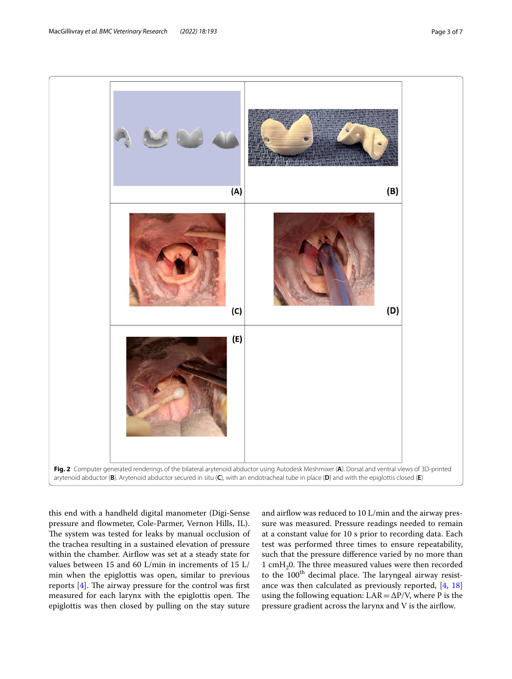

<span id="page-2-0"></span>this end with a handheld digital manometer (Digi-Sense pressure and fowmeter, Cole-Parmer, Vernon Hills, IL). The system was tested for leaks by manual occlusion of the trachea resulting in a sustained elevation of pressure within the chamber. Airflow was set at a steady state for values between 15 and 60 L/min in increments of 15 L/ min when the epiglottis was open, similar to previous reports  $[4]$  $[4]$ . The airway pressure for the control was first measured for each larynx with the epiglottis open. The epiglottis was then closed by pulling on the stay suture

and airflow was reduced to 10 L/min and the airway pressure was measured. Pressure readings needed to remain at a constant value for 10 s prior to recording data. Each test was performed three times to ensure repeatability, such that the pressure diference varied by no more than 1 cm $H<sub>2</sub>0$ . The three measured values were then recorded to the  $100<sup>th</sup>$  decimal place. The laryngeal airway resistance was then calculated as previously reported, [[4,](#page-6-3) [18](#page-6-10)] using the following equation:  $LAR = \Delta P/V$ , where P is the pressure gradient across the larynx and V is the airfow.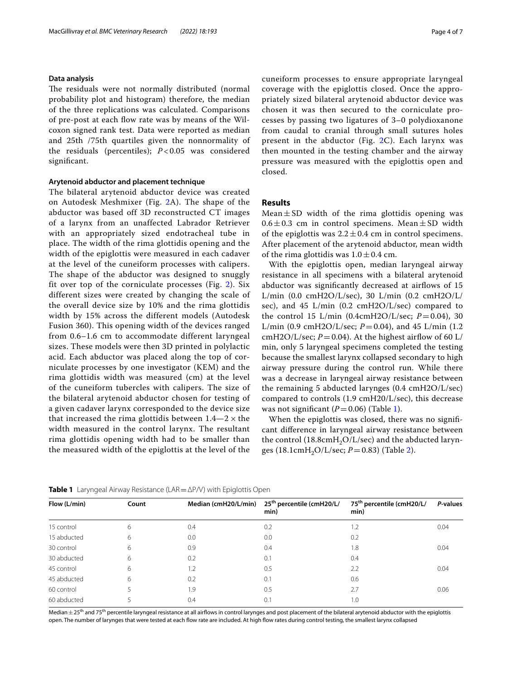## **Data analysis**

The residuals were not normally distributed (normal probability plot and histogram) therefore, the median of the three replications was calculated. Comparisons of pre-post at each flow rate was by means of the Wilcoxon signed rank test. Data were reported as median and 25th /75th quartiles given the nonnormality of the residuals (percentiles); *P* < 0.05 was considered signifcant.

## **Arytenoid abductor and placement technique**

The bilateral arytenoid abductor device was created on Autodesk Meshmixer (Fig. [2A](#page-2-0)). The shape of the abductor was based off 3D reconstructed CT images of a larynx from an unaffected Labrador Retriever with an appropriately sized endotracheal tube in place. The width of the rima glottidis opening and the width of the epiglottis were measured in each cadaver at the level of the cuneiform processes with calipers. The shape of the abductor was designed to snuggly fit over top of the corniculate processes (Fig. [2\)](#page-2-0). Six different sizes were created by changing the scale of the overall device size by 10% and the rima glottidis width by 15% across the different models (Autodesk Fusion 360). This opening width of the devices ranged from 0.6–1.6 cm to accommodate different laryngeal sizes. These models were then 3D printed in polylactic acid. Each abductor was placed along the top of corniculate processes by one investigator (KEM) and the rima glottidis width was measured (cm) at the level of the cuneiform tubercles with calipers. The size of the bilateral arytenoid abductor chosen for testing of a given cadaver larynx corresponded to the device size that increased the rima glottidis between  $1.4-2 \times$  the width measured in the control larynx. The resultant rima glottidis opening width had to be smaller than the measured width of the epiglottis at the level of the cuneiform processes to ensure appropriate laryngeal coverage with the epiglottis closed. Once the appropriately sized bilateral arytenoid abductor device was chosen it was then secured to the corniculate processes by passing two ligatures of 3–0 polydioxanone from caudal to cranial through small sutures holes present in the abductor (Fig. [2C](#page-2-0)). Each larynx was then mounted in the testing chamber and the airway pressure was measured with the epiglottis open and closed.

## **Results**

Mean $\pm$ SD width of the rima glottidis opening was  $0.6 \pm 0.3$  cm in control specimens. Mean  $\pm$  SD width of the epiglottis was  $2.2 \pm 0.4$  cm in control specimens. After placement of the arytenoid abductor, mean width of the rima glottidis was  $1.0 \pm 0.4$  cm.

With the epiglottis open, median laryngeal airway resistance in all specimens with a bilateral arytenoid abductor was significantly decreased at airflows of 15 L/min (0.0 cmH2O/L/sec), 30 L/min (0.2 cmH2O/L/ sec), and 45 L/min (0.2 cmH2O/L/sec) compared to the control 15 L/min (0.4cmH2O/L/sec;  $P = 0.04$ ), 30 L/min (0.9 cmH2O/L/sec;  $P = 0.04$ ), and 45 L/min (1.2) cmH2O/L/sec;  $P = 0.04$ ). At the highest airflow of 60 L/ min, only 5 laryngeal specimens completed the testing because the smallest larynx collapsed secondary to high airway pressure during the control run. While there was a decrease in laryngeal airway resistance between the remaining 5 abducted larynges (0.4 cmH2O/L/sec) compared to controls (1.9 cmH20/L/sec), this decrease was not significant  $(P=0.06)$  (Table [1\)](#page-3-0).

When the epiglottis was closed, there was no signifcant diference in laryngeal airway resistance between the control (18.8cm $H_2O/L/sec$ ) and the abducted laryn-ges (18.1cmH<sub>[2](#page-4-0)</sub>O/L/sec;  $P = 0.83$ ) (Table 2).

| Flow (L/min) | Count | Median (cmH20/L/min) | 25 <sup>th</sup> percentile (cmH20/L/<br>min) | 75 <sup>th</sup> percentile (cmH20/L/<br>min) | P-values |
|--------------|-------|----------------------|-----------------------------------------------|-----------------------------------------------|----------|
| 15 control   | 6     | 0.4                  | 0.2                                           | 1.2                                           | 0.04     |
| 15 abducted  | 6     | 0.0                  | 0.0                                           | 0.2                                           |          |
| 30 control   | 6     | 0.9                  | 0.4                                           | 1.8                                           | 0.04     |
| 30 abducted  | 6     | 0.2                  | 0.1                                           | 0.4                                           |          |
| 45 control   | 6     | 1.2                  | 0.5                                           | 2.2                                           | 0.04     |
| 45 abducted  | 6     | 0.2                  | 0.1                                           | 0.6                                           |          |
| 60 control   |       | 1.9                  | 0.5                                           | 2.7                                           | 0.06     |
| 60 abducted  |       | 0.4                  | 0.1                                           | 1.0                                           |          |

<span id="page-3-0"></span>**Table 1** Laryngeal Airway Resistance (LAR=ΔP/V) with Epiglottis Open

Median $\pm 25^{th}$  and 75<sup>th</sup> percentile laryngeal resistance at all airflows in control larynges and post placement of the bilateral arytenoid abductor with the epiglottis open. The number of larynges that were tested at each fow rate are included. At high fow rates during control testing, the smallest larynx collapsed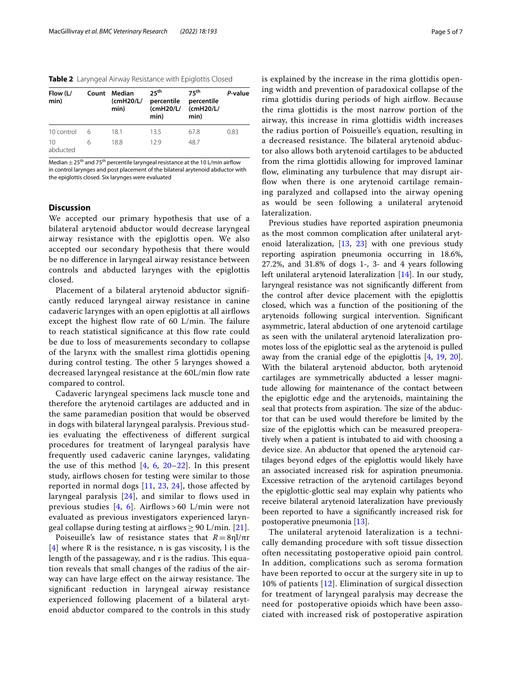<span id="page-4-0"></span>**Table 2** Laryngeal Airway Resistance with Epiglottis Closed

| Flow (L/<br>min) | Count | Median<br>(cmH20/L/<br>min) | 25 <sup>th</sup><br>percentile<br>(cmH20/L/<br>min) | 75 <sup>th</sup><br>percentile<br>(cmH20/L/<br>min) | P-value |
|------------------|-------|-----------------------------|-----------------------------------------------------|-----------------------------------------------------|---------|
| 10 control       | 6     | 18.1                        | 13.5                                                | 67.8                                                | 0.83    |
| 10<br>abducted   | 6     | 18.8                        | 129                                                 | 48.7                                                |         |

Median  $\pm$  25<sup>th</sup> and 75<sup>th</sup> percentile laryngeal resistance at the 10 L/min airflow in control larynges and post placement of the bilateral arytenoid abductor with the epiglottis closed. Six larynges were evaluated

## **Discussion**

We accepted our primary hypothesis that use of a bilateral arytenoid abductor would decrease laryngeal airway resistance with the epiglottis open. We also accepted our secondary hypothesis that there would be no diference in laryngeal airway resistance between controls and abducted larynges with the epiglottis closed.

Placement of a bilateral arytenoid abductor signifcantly reduced laryngeal airway resistance in canine cadaveric larynges with an open epiglottis at all airfows except the highest flow rate of 60 L/min. The failure to reach statistical significance at this flow rate could be due to loss of measurements secondary to collapse of the larynx with the smallest rima glottidis opening during control testing. The other 5 larynges showed a decreased laryngeal resistance at the 60L/min flow rate compared to control.

Cadaveric laryngeal specimens lack muscle tone and therefore the arytenoid cartilages are adducted and in the same paramedian position that would be observed in dogs with bilateral laryngeal paralysis. Previous studies evaluating the efectiveness of diferent surgical procedures for treatment of laryngeal paralysis have frequently used cadaveric canine larynges, validating the use of this method  $[4, 6, 20-22]$  $[4, 6, 20-22]$  $[4, 6, 20-22]$  $[4, 6, 20-22]$  $[4, 6, 20-22]$  $[4, 6, 20-22]$ . In this present study, airflows chosen for testing were similar to those reported in normal dogs  $[11, 23, 24]$  $[11, 23, 24]$  $[11, 23, 24]$  $[11, 23, 24]$  $[11, 23, 24]$  $[11, 23, 24]$  $[11, 23, 24]$ , those affected by laryngeal paralysis  $[24]$ , and similar to flows used in previous studies [[4](#page-6-3), [6](#page-6-2)]. Airflows > 60 L/min were not evaluated as previous investigators experienced laryngeal collapse during testing at airflows  $\geq$  90 L/min. [\[21](#page-6-16)].

Poiseuille's law of resistance states that *R*=8ηl/πr  $[4]$  $[4]$  $[4]$  where R is the resistance, n is gas viscosity, l is the length of the passageway, and r is the radius. This equation reveals that small changes of the radius of the airway can have large effect on the airway resistance. The signifcant reduction in laryngeal airway resistance experienced following placement of a bilateral arytenoid abductor compared to the controls in this study is explained by the increase in the rima glottidis opening width and prevention of paradoxical collapse of the rima glottidis during periods of high airflow. Because the rima glottidis is the most narrow portion of the airway, this increase in rima glottidis width increases the radius portion of Poisueille's equation, resulting in a decreased resistance. The bilateral arytenoid abductor also allows both arytenoid cartilages to be abducted from the rima glottidis allowing for improved laminar flow, eliminating any turbulence that may disrupt airflow when there is one arytenoid cartilage remaining paralyzed and collapsed into the airway opening as would be seen following a unilateral arytenoid lateralization.

Previous studies have reported aspiration pneumonia as the most common complication after unilateral arytenoid lateralization, [[13,](#page-6-7) [23](#page-6-14)] with one previous study reporting aspiration pneumonia occurring in 18.6%, 27.2%, and 31.8% of dogs 1-, 3- and 4 years following left unilateral arytenoid lateralization [\[14](#page-6-17)]. In our study, laryngeal resistance was not signifcantly diferent from the control after device placement with the epiglottis closed, which was a function of the positioning of the arytenoids following surgical intervention. Signifcant asymmetric, lateral abduction of one arytenoid cartilage as seen with the unilateral arytenoid lateralization promotes loss of the epiglottic seal as the arytenoid is pulled away from the cranial edge of the epiglottis [[4,](#page-6-3) [19](#page-6-11), [20](#page-6-12)]. With the bilateral arytenoid abductor, both arytenoid cartilages are symmetrically abducted a lesser magnitude allowing for maintenance of the contact between the epiglottic edge and the arytenoids, maintaining the seal that protects from aspiration. The size of the abductor that can be used would therefore be limited by the size of the epiglottis which can be measured preoperatively when a patient is intubated to aid with choosing a device size. An abductor that opened the arytenoid cartilages beyond edges of the epiglottis would likely have an associated increased risk for aspiration pneumonia. Excessive retraction of the arytenoid cartilages beyond the epiglottic-glottic seal may explain why patients who receive bilateral arytenoid lateralization have previously been reported to have a signifcantly increased risk for postoperative pneumonia [[13\]](#page-6-7).

The unilateral arytenoid lateralization is a technically demanding procedure with soft tissue dissection often necessitating postoperative opioid pain control. In addition, complications such as seroma formation have been reported to occur at the surgery site in up to 10% of patients [\[12\]](#page-6-8). Elimination of surgical dissection for treatment of laryngeal paralysis may decrease the need for postoperative opioids which have been associated with increased risk of postoperative aspiration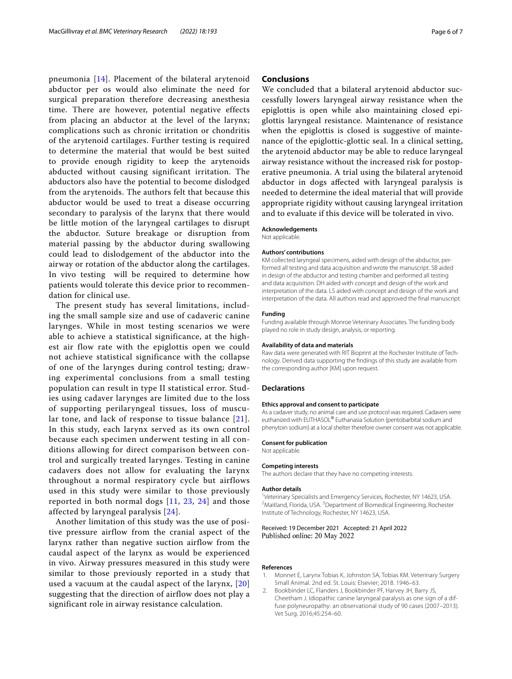pneumonia [\[14\]](#page-6-17). Placement of the bilateral arytenoid abductor per os would also eliminate the need for surgical preparation therefore decreasing anesthesia time. There are however, potential negative effects from placing an abductor at the level of the larynx; complications such as chronic irritation or chondritis of the arytenoid cartilages. Further testing is required to determine the material that would be best suited to provide enough rigidity to keep the arytenoids abducted without causing significant irritation. The abductors also have the potential to become dislodged from the arytenoids. The authors felt that because this abductor would be used to treat a disease occurring secondary to paralysis of the larynx that there would be little motion of the laryngeal cartilages to disrupt the abductor. Suture breakage or disruption from material passing by the abductor during swallowing could lead to dislodgement of the abductor into the airway or rotation of the abductor along the cartilages. In vivo testing will be required to determine how patients would tolerate this device prior to recommendation for clinical use.

The present study has several limitations, including the small sample size and use of cadaveric canine larynges. While in most testing scenarios we were able to achieve a statistical significance, at the highest air flow rate with the epiglottis open we could not achieve statistical significance with the collapse of one of the larynges during control testing; drawing experimental conclusions from a small testing population can result in type II statistical error. Studies using cadaver larynges are limited due to the loss of supporting perilaryngeal tissues, loss of muscular tone, and lack of response to tissue balance [\[21\]](#page-6-16). In this study, each larynx served as its own control because each specimen underwent testing in all conditions allowing for direct comparison between control and surgically treated larynges. Testing in canine cadavers does not allow for evaluating the larynx throughout a normal respiratory cycle but airflows used in this study were similar to those previously reported in both normal dogs  $[11, 23, 24]$  $[11, 23, 24]$  $[11, 23, 24]$  $[11, 23, 24]$  $[11, 23, 24]$  $[11, 23, 24]$  $[11, 23, 24]$  and those affected by laryngeal paralysis [[24](#page-6-15)].

Another limitation of this study was the use of positive pressure airflow from the cranial aspect of the larynx rather than negative suction airflow from the caudal aspect of the larynx as would be experienced in vivo. Airway pressures measured in this study were similar to those previously reported in a study that used a vacuum at the caudal aspect of the larynx, [[20](#page-6-12)] suggesting that the direction of airflow does not play a significant role in airway resistance calculation.

## **Conclusions**

We concluded that a bilateral arytenoid abductor successfully lowers laryngeal airway resistance when the epiglottis is open while also maintaining closed epiglottis laryngeal resistance. Maintenance of resistance when the epiglottis is closed is suggestive of maintenance of the epiglottic-glottic seal. In a clinical setting, the arytenoid abductor may be able to reduce laryngeal airway resistance without the increased risk for postoperative pneumonia. A trial using the bilateral arytenoid abductor in dogs afected with laryngeal paralysis is needed to determine the ideal material that will provide appropriate rigidity without causing laryngeal irritation and to evaluate if this device will be tolerated in vivo.

#### **Acknowledgements**

Not applicable.

#### **Authors' contributions**

KM collected laryngeal specimens, aided with design of the abductor, performed all testing and data acquisition and wrote the manuscript. SB aided in design of the abductor and testing chamber and performed all testing and data acquisition. DH aided with concept and design of the work and interpretation of the data. LS aided with concept and design of the work and interpretation of the data. All authors read and approved the fnal manuscript.

## **Funding**

Funding available through Monroe Veterinary Associates. The funding body played no role in study design, analysis, or reporting.

#### **Availability of data and materials**

Raw data were generated with RIT Bioprint at the Rochester Institute of Technology. Derived data supporting the fndings of this study are available from the corresponding author [KM] upon request.

#### **Declarations**

#### **Ethics approval and consent to participate**

As a cadaver study, no animal care and use protocol was required. Cadavers were euthanized with EUTHASOL® Euthanasia Solution (pentobarbital sodium and phenytoin sodium) at a local shelter therefore owner consent was not applicable.

#### **Consent for publication**

Not applicable.

#### **Competing interests**

The authors declare that they have no competing interests.

#### **Author details**

<sup>1</sup>Veterinary Specialists and Emergency Services, Rochester, NY 14623, USA.<br><sup>2</sup>Maitland Elorida USA <sup>3</sup>Department of Biomodical Engineering, Rechecte Maitland, Florida, USA.<sup>3</sup> Department of Biomedical Engineering, Rochester Institute of Technology, Rochester, NY 14623, USA.

Received: 19 December 2021 Accepted: 21 April 2022 Published online: 20 May 2022

#### **References**

- <span id="page-5-0"></span>1. Monnet E, Larynx Tobias K, Johnston SA, Tobias KM. Veterinary Surgery Small Animal. 2nd ed. St. Louis: Elsevier; 2018. 1946–63.
- <span id="page-5-1"></span>2. Bookbinder LC, Flanders J, Bookbinder PF, Harvey JH, Barry JS, Cheetham J. Idiopathic canine laryngeal paralysis as one sign of a diffuse polyneuropathy: an observational study of 90 cases (2007–2013). Vet Surg. 2016;45:254–60.